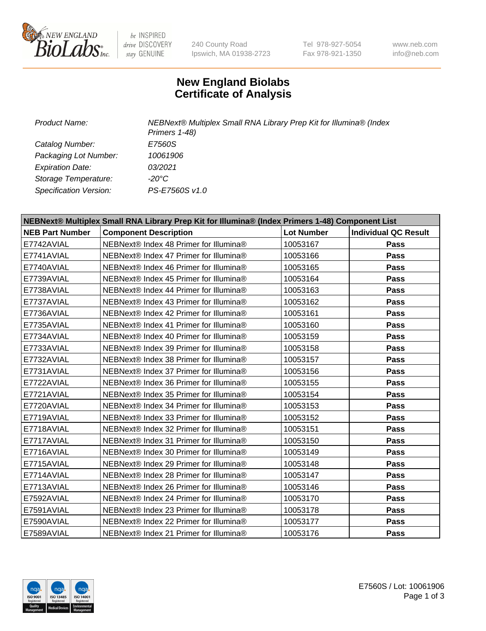

be INSPIRED drive DISCOVERY stay GENUINE

240 County Road Ipswich, MA 01938-2723 Tel 978-927-5054 Fax 978-921-1350

www.neb.com info@neb.com

## **New England Biolabs Certificate of Analysis**

*Product Name: NEBNext® Multiplex Small RNA Library Prep Kit for Illumina® (Index Primers 1-48) Catalog Number: E7560S Packaging Lot Number: 10061906 Expiration Date: 03/2021 Storage Temperature: -20°C Specification Version: PS-E7560S v1.0*

| NEBNext® Multiplex Small RNA Library Prep Kit for Illumina® (Index Primers 1-48) Component List |                                        |                   |                             |  |
|-------------------------------------------------------------------------------------------------|----------------------------------------|-------------------|-----------------------------|--|
| <b>NEB Part Number</b>                                                                          | <b>Component Description</b>           | <b>Lot Number</b> | <b>Individual QC Result</b> |  |
| E7742AVIAL                                                                                      | NEBNext® Index 48 Primer for Illumina® | 10053167          | <b>Pass</b>                 |  |
| E7741AVIAL                                                                                      | NEBNext® Index 47 Primer for Illumina® | 10053166          | Pass                        |  |
| E7740AVIAL                                                                                      | NEBNext® Index 46 Primer for Illumina® | 10053165          | Pass                        |  |
| E7739AVIAL                                                                                      | NEBNext® Index 45 Primer for Illumina® | 10053164          | <b>Pass</b>                 |  |
| E7738AVIAL                                                                                      | NEBNext® Index 44 Primer for Illumina® | 10053163          | Pass                        |  |
| E7737AVIAL                                                                                      | NEBNext® Index 43 Primer for Illumina® | 10053162          | Pass                        |  |
| E7736AVIAL                                                                                      | NEBNext® Index 42 Primer for Illumina® | 10053161          | <b>Pass</b>                 |  |
| E7735AVIAL                                                                                      | NEBNext® Index 41 Primer for Illumina® | 10053160          | Pass                        |  |
| E7734AVIAL                                                                                      | NEBNext® Index 40 Primer for Illumina® | 10053159          | Pass                        |  |
| E7733AVIAL                                                                                      | NEBNext® Index 39 Primer for Illumina® | 10053158          | Pass                        |  |
| E7732AVIAL                                                                                      | NEBNext® Index 38 Primer for Illumina® | 10053157          | Pass                        |  |
| E7731AVIAL                                                                                      | NEBNext® Index 37 Primer for Illumina® | 10053156          | <b>Pass</b>                 |  |
| E7722AVIAL                                                                                      | NEBNext® Index 36 Primer for Illumina® | 10053155          | Pass                        |  |
| E7721AVIAL                                                                                      | NEBNext® Index 35 Primer for Illumina® | 10053154          | Pass                        |  |
| E7720AVIAL                                                                                      | NEBNext® Index 34 Primer for Illumina® | 10053153          | Pass                        |  |
| E7719AVIAL                                                                                      | NEBNext® Index 33 Primer for Illumina® | 10053152          | Pass                        |  |
| E7718AVIAL                                                                                      | NEBNext® Index 32 Primer for Illumina® | 10053151          | <b>Pass</b>                 |  |
| E7717AVIAL                                                                                      | NEBNext® Index 31 Primer for Illumina® | 10053150          | Pass                        |  |
| E7716AVIAL                                                                                      | NEBNext® Index 30 Primer for Illumina® | 10053149          | Pass                        |  |
| E7715AVIAL                                                                                      | NEBNext® Index 29 Primer for Illumina® | 10053148          | <b>Pass</b>                 |  |
| E7714AVIAL                                                                                      | NEBNext® Index 28 Primer for Illumina® | 10053147          | <b>Pass</b>                 |  |
| E7713AVIAL                                                                                      | NEBNext® Index 26 Primer for Illumina® | 10053146          | Pass                        |  |
| E7592AVIAL                                                                                      | NEBNext® Index 24 Primer for Illumina® | 10053170          | <b>Pass</b>                 |  |
| E7591AVIAL                                                                                      | NEBNext® Index 23 Primer for Illumina® | 10053178          | Pass                        |  |
| E7590AVIAL                                                                                      | NEBNext® Index 22 Primer for Illumina® | 10053177          | Pass                        |  |
| E7589AVIAL                                                                                      | NEBNext® Index 21 Primer for Illumina® | 10053176          | Pass                        |  |

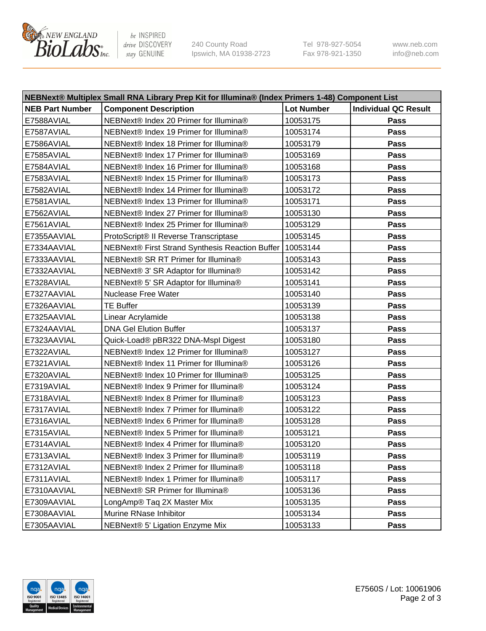

be INSPIRED drive DISCOVERY stay GENUINE

240 County Road Ipswich, MA 01938-2723 Tel 978-927-5054 Fax 978-921-1350 www.neb.com info@neb.com

| NEBNext® Multiplex Small RNA Library Prep Kit for Illumina® (Index Primers 1-48) Component List |                                                            |                   |                             |  |
|-------------------------------------------------------------------------------------------------|------------------------------------------------------------|-------------------|-----------------------------|--|
| <b>NEB Part Number</b>                                                                          | <b>Component Description</b>                               | <b>Lot Number</b> | <b>Individual QC Result</b> |  |
| E7588AVIAL                                                                                      | NEBNext® Index 20 Primer for Illumina®                     | 10053175          | Pass                        |  |
| E7587AVIAL                                                                                      | NEBNext® Index 19 Primer for Illumina®                     | 10053174          | Pass                        |  |
| E7586AVIAL                                                                                      | NEBNext® Index 18 Primer for Illumina®                     | 10053179          | Pass                        |  |
| E7585AVIAL                                                                                      | NEBNext® Index 17 Primer for Illumina®                     | 10053169          | Pass                        |  |
| E7584AVIAL                                                                                      | NEBNext® Index 16 Primer for Illumina®                     | 10053168          | Pass                        |  |
| E7583AVIAL                                                                                      | NEBNext® Index 15 Primer for Illumina®                     | 10053173          | Pass                        |  |
| E7582AVIAL                                                                                      | NEBNext® Index 14 Primer for Illumina®                     | 10053172          | Pass                        |  |
| E7581AVIAL                                                                                      | NEBNext® Index 13 Primer for Illumina®                     | 10053171          | Pass                        |  |
| E7562AVIAL                                                                                      | NEBNext® Index 27 Primer for Illumina®                     | 10053130          | Pass                        |  |
| E7561AVIAL                                                                                      | NEBNext® Index 25 Primer for Illumina®                     | 10053129          | Pass                        |  |
| E7355AAVIAL                                                                                     | ProtoScript® II Reverse Transcriptase                      | 10053145          | Pass                        |  |
| E7334AAVIAL                                                                                     | NEBNext® First Strand Synthesis Reaction Buffer   10053144 |                   | Pass                        |  |
| E7333AAVIAL                                                                                     | NEBNext® SR RT Primer for Illumina®                        | 10053143          | Pass                        |  |
| E7332AAVIAL                                                                                     | NEBNext® 3' SR Adaptor for Illumina®                       | 10053142          | Pass                        |  |
| E7328AVIAL                                                                                      | NEBNext® 5' SR Adaptor for Illumina®                       | 10053141          | Pass                        |  |
| E7327AAVIAL                                                                                     | <b>Nuclease Free Water</b>                                 | 10053140          | Pass                        |  |
| E7326AAVIAL                                                                                     | <b>TE Buffer</b>                                           | 10053139          | Pass                        |  |
| E7325AAVIAL                                                                                     | Linear Acrylamide                                          | 10053138          | Pass                        |  |
| E7324AAVIAL                                                                                     | <b>DNA Gel Elution Buffer</b>                              | 10053137          | Pass                        |  |
| E7323AAVIAL                                                                                     | Quick-Load® pBR322 DNA-Mspl Digest                         | 10053180          | Pass                        |  |
| E7322AVIAL                                                                                      | NEBNext® Index 12 Primer for Illumina®                     | 10053127          | Pass                        |  |
| E7321AVIAL                                                                                      | NEBNext® Index 11 Primer for Illumina®                     | 10053126          | Pass                        |  |
| E7320AVIAL                                                                                      | NEBNext® Index 10 Primer for Illumina®                     | 10053125          | Pass                        |  |
| E7319AVIAL                                                                                      | NEBNext® Index 9 Primer for Illumina®                      | 10053124          | Pass                        |  |
| E7318AVIAL                                                                                      | NEBNext® Index 8 Primer for Illumina®                      | 10053123          | Pass                        |  |
| E7317AVIAL                                                                                      | NEBNext® Index 7 Primer for Illumina®                      | 10053122          | Pass                        |  |
| E7316AVIAL                                                                                      | NEBNext® Index 6 Primer for Illumina®                      | 10053128          | Pass                        |  |
| E7315AVIAL                                                                                      | NEBNext® Index 5 Primer for Illumina®                      | 10053121          | Pass                        |  |
| E7314AVIAL                                                                                      | NEBNext® Index 4 Primer for Illumina®                      | 10053120          | Pass                        |  |
| E7313AVIAL                                                                                      | NEBNext® Index 3 Primer for Illumina®                      | 10053119          | Pass                        |  |
| E7312AVIAL                                                                                      | NEBNext® Index 2 Primer for Illumina®                      | 10053118          | Pass                        |  |
| E7311AVIAL                                                                                      | NEBNext® Index 1 Primer for Illumina®                      | 10053117          | Pass                        |  |
| E7310AAVIAL                                                                                     | NEBNext® SR Primer for Illumina®                           | 10053136          | Pass                        |  |
| E7309AAVIAL                                                                                     | LongAmp® Taq 2X Master Mix                                 | 10053135          | Pass                        |  |
| E7308AAVIAL                                                                                     | Murine RNase Inhibitor                                     | 10053134          | Pass                        |  |
| E7305AAVIAL                                                                                     | NEBNext® 5' Ligation Enzyme Mix                            | 10053133          | Pass                        |  |